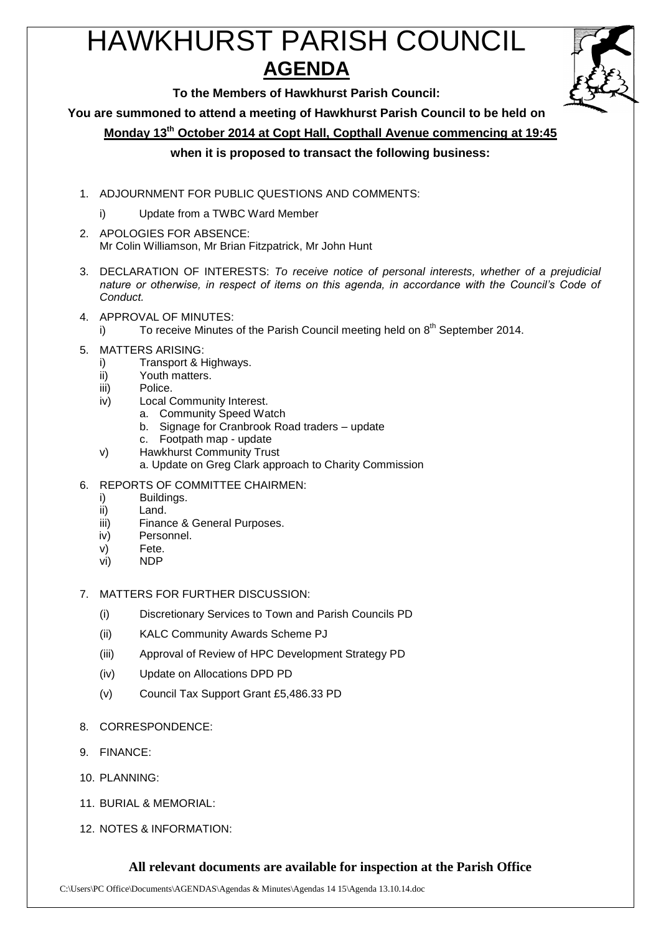# HAWKHURST PARISH COUNCIL **AGENDA**



**To the Members of Hawkhurst Parish Council:**

**You are summoned to attend a meeting of Hawkhurst Parish Council to be held on**

**Monday 13th October 2014 at Copt Hall, Copthall Avenue commencing at 19:45**

**when it is proposed to transact the following business:**

- 1. ADJOURNMENT FOR PUBLIC QUESTIONS AND COMMENTS:
	- i) Update from a TWBC Ward Member
- 2. APOLOGIES FOR ABSENCE: Mr Colin Williamson, Mr Brian Fitzpatrick, Mr John Hunt
- 3. DECLARATION OF INTERESTS: *To receive notice of personal interests, whether of a prejudicial nature or otherwise, in respect of items on this agenda, in accordance with the Council's Code of Conduct.*
- 4. APPROVAL OF MINUTES:
	- i) To receive Minutes of the Parish Council meeting held on  $8<sup>th</sup>$  September 2014.
- 5. MATTERS ARISING:
	- i) Transport & Highways.
	- ii) Youth matters.
	- iii) Police.
	- iv) Local Community Interest.
		- a. Community Speed Watch
			- b. Signage for Cranbrook Road traders update
			- c. Footpath map update
	- v) Hawkhurst Community Trust
		- a. Update on Greg Clark approach to Charity Commission
- 6. REPORTS OF COMMITTEE CHAIRMEN:
	- i) Buildings.
	- ii) Land.
	- iii) Finance & General Purposes.
	- iv) Personnel.
	- v) Fete.
	- vi) NDP
- 7. MATTERS FOR FURTHER DISCUSSION:
	- (i) Discretionary Services to Town and Parish Councils PD
	- (ii) KALC Community Awards Scheme PJ
	- (iii) Approval of Review of HPC Development Strategy PD
	- (iv) Update on Allocations DPD PD
	- (v) Council Tax Support Grant £5,486.33 PD
- 8. CORRESPONDENCE:
- 9. FINANCE:
- 10. PLANNING:
- 11. BURIAL & MEMORIAL:
- 12. NOTES & INFORMATION:

### **All relevant documents are available for inspection at the Parish Office**

C:\Users\PC Office\Documents\AGENDAS\Agendas & Minutes\Agendas 14 15\Agenda 13.10.14.doc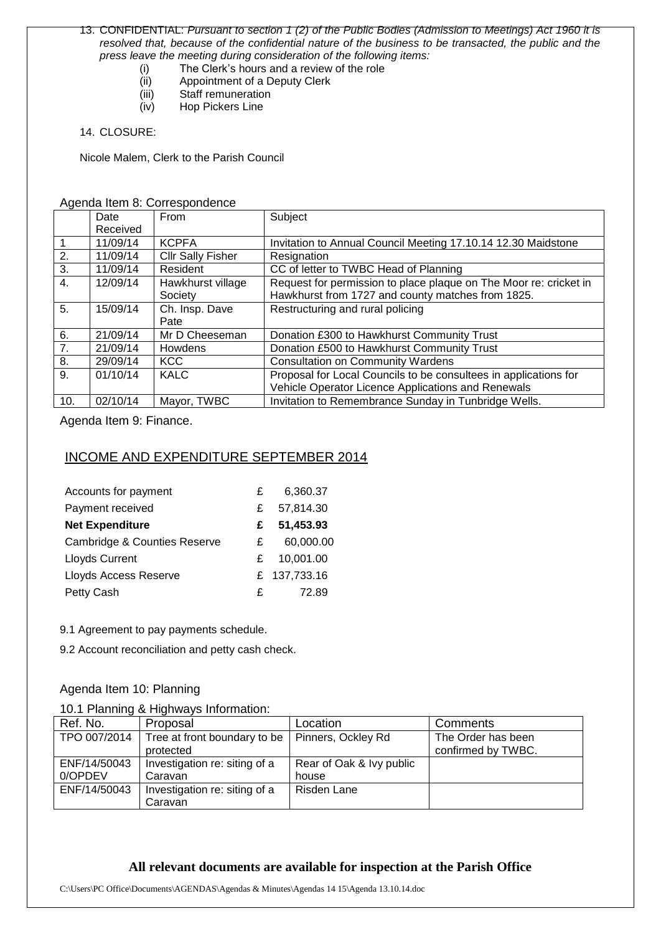#### 13. CONFIDENTIAL: *Pursuant to section 1 (2) of the Public Bodies (Admission to Meetings) Act 1960 it is resolved that, because of the confidential nature of the business to be transacted, the public and the press leave the meeting during consideration of the following items:*

- (i) The Clerk's hours and a review of the role
- (ii) Appointment of a Deputy Clerk<br>(iii) Staff remuneration
- Staff remuneration
- (iv) Hop Pickers Line

#### 14. CLOSURE:

Nicole Malem, Clerk to the Parish Council

#### Agenda Item 8: Correspondence

|                  | Date     | From                     | Subject                                                           |
|------------------|----------|--------------------------|-------------------------------------------------------------------|
|                  | Received |                          |                                                                   |
|                  | 11/09/14 | <b>KCPFA</b>             | Invitation to Annual Council Meeting 17.10.14 12.30 Maidstone     |
| 2.               | 11/09/14 | <b>Cllr Sally Fisher</b> | Resignation                                                       |
| 3.               | 11/09/14 | Resident                 | CC of letter to TWBC Head of Planning                             |
| $\overline{4}$ . | 12/09/14 | Hawkhurst village        | Request for permission to place plaque on The Moor re: cricket in |
|                  |          | Society                  | Hawkhurst from 1727 and county matches from 1825.                 |
| 5.               | 15/09/14 | Ch. Insp. Dave           | Restructuring and rural policing                                  |
|                  |          | Pate                     |                                                                   |
| 6.               | 21/09/14 | Mr D Cheeseman           | Donation £300 to Hawkhurst Community Trust                        |
| 7.               | 21/09/14 | Howdens                  | Donation £500 to Hawkhurst Community Trust                        |
| 8.               | 29/09/14 | <b>KCC</b>               | <b>Consultation on Community Wardens</b>                          |
| 9.               | 01/10/14 | <b>KALC</b>              | Proposal for Local Councils to be consultees in applications for  |
|                  |          |                          | Vehicle Operator Licence Applications and Renewals                |
| 10.              | 02/10/14 | Mayor, TWBC              | Invitation to Remembrance Sunday in Tunbridge Wells.              |

Agenda Item 9: Finance.

## INCOME AND EXPENDITURE SEPTEMBER 2014

| Accounts for payment                    | £ | 6,360.37     |
|-----------------------------------------|---|--------------|
| Payment received                        | £ | 57,814.30    |
| <b>Net Expenditure</b>                  | £ | 51,453.93    |
| <b>Cambridge &amp; Counties Reserve</b> | £ | 60,000.00    |
| <b>Lloyds Current</b>                   | £ | 10,001.00    |
| Lloyds Access Reserve                   |   | £ 137,733.16 |
| Petty Cash                              | £ | 72.89        |

9.1 Agreement to pay payments schedule.

9.2 Account reconciliation and petty cash check.

### Agenda Item 10: Planning

### 10.1 Planning & Highways Information:

| Ref. No.     | Proposal                      | Location                 | Comments           |
|--------------|-------------------------------|--------------------------|--------------------|
| TPO 007/2014 | Tree at front boundary to be  | Pinners, Ockley Rd       | The Order has been |
|              | protected                     |                          | confirmed by TWBC. |
| ENF/14/50043 | Investigation re: siting of a | Rear of Oak & Ivy public |                    |
| 0/OPDEV      | Caravan                       | house                    |                    |
| ENF/14/50043 | Investigation re: siting of a | Risden Lane              |                    |
|              | Caravan                       |                          |                    |

## **All relevant documents are available for inspection at the Parish Office**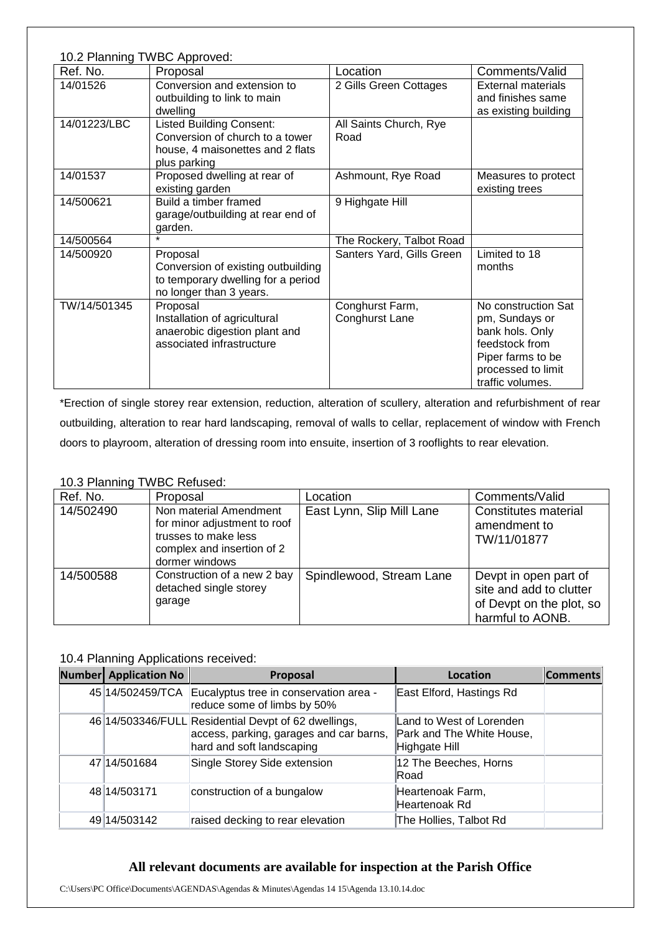| 10.2 Planning TWBC Approved: |                                                                                                                        |                                   |                                                                                                                                           |
|------------------------------|------------------------------------------------------------------------------------------------------------------------|-----------------------------------|-------------------------------------------------------------------------------------------------------------------------------------------|
| Ref. No.                     | Proposal                                                                                                               | Location                          | Comments/Valid                                                                                                                            |
| 14/01526                     | Conversion and extension to<br>outbuilding to link to main<br>dwelling                                                 | 2 Gills Green Cottages            | <b>External materials</b><br>and finishes same<br>as existing building                                                                    |
| 14/01223/LBC                 | <b>Listed Building Consent:</b><br>Conversion of church to a tower<br>house, 4 maisonettes and 2 flats<br>plus parking | All Saints Church, Rye<br>Road    |                                                                                                                                           |
| 14/01537                     | Proposed dwelling at rear of<br>existing garden                                                                        | Ashmount, Rye Road                | Measures to protect<br>existing trees                                                                                                     |
| 14/500621                    | Build a timber framed<br>garage/outbuilding at rear end of<br>garden.                                                  | 9 Highgate Hill                   |                                                                                                                                           |
| 14/500564                    |                                                                                                                        | The Rockery, Talbot Road          |                                                                                                                                           |
| 14/500920                    | Proposal<br>Conversion of existing outbuilding<br>to temporary dwelling for a period<br>no longer than 3 years.        | Santers Yard, Gills Green         | Limited to 18<br>months                                                                                                                   |
| TW/14/501345                 | Proposal<br>Installation of agricultural<br>anaerobic digestion plant and<br>associated infrastructure                 | Conghurst Farm,<br>Conghurst Lane | No construction Sat<br>pm, Sundays or<br>bank hols. Only<br>feedstock from<br>Piper farms to be<br>processed to limit<br>traffic volumes. |

\*Erection of single storey rear extension, reduction, alteration of scullery, alteration and refurbishment of rear outbuilding, alteration to rear hard landscaping, removal of walls to cellar, replacement of window with French doors to playroom, alteration of dressing room into ensuite, insertion of 3 rooflights to rear elevation.

## 10.3 Planning TWBC Refused:

| Ref. No.  | Proposal                                                                                                                       | Location                  | Comments/Valid                                                                                   |
|-----------|--------------------------------------------------------------------------------------------------------------------------------|---------------------------|--------------------------------------------------------------------------------------------------|
| 14/502490 | Non material Amendment<br>for minor adjustment to roof<br>trusses to make less<br>complex and insertion of 2<br>dormer windows | East Lynn, Slip Mill Lane | Constitutes material<br>amendment to<br>TW/11/01877                                              |
| 14/500588 | Construction of a new 2 bay<br>detached single storey<br>garage                                                                | Spindlewood, Stream Lane  | Devpt in open part of<br>site and add to clutter<br>of Devpt on the plot, so<br>harmful to AONB. |

## 10.4 Planning Applications received:

| <b>Number</b> Application No | Proposal                                                                                                                     | Location                                                               | <b>Comments</b> |
|------------------------------|------------------------------------------------------------------------------------------------------------------------------|------------------------------------------------------------------------|-----------------|
|                              | 45 14/502459/TCA Eucalyptus tree in conservation area -<br>reduce some of limbs by 50%                                       | East Elford, Hastings Rd                                               |                 |
|                              | 46 14/503346/FULL Residential Devpt of 62 dwellings,<br>access, parking, garages and car barns,<br>hard and soft landscaping | Land to West of Lorenden<br>Park and The White House,<br>Highgate Hill |                 |
| 47 14/501684                 | Single Storey Side extension                                                                                                 | 12 The Beeches, Horns<br>lRoad.                                        |                 |
| 48 14/503171                 | construction of a bungalow                                                                                                   | Heartenoak Farm,<br>Heartenoak Rd                                      |                 |
| 49 14/503142                 | raised decking to rear elevation                                                                                             | The Hollies, Talbot Rd                                                 |                 |

## **All relevant documents are available for inspection at the Parish Office**

C:\Users\PC Office\Documents\AGENDAS\Agendas & Minutes\Agendas 14 15\Agenda 13.10.14.doc